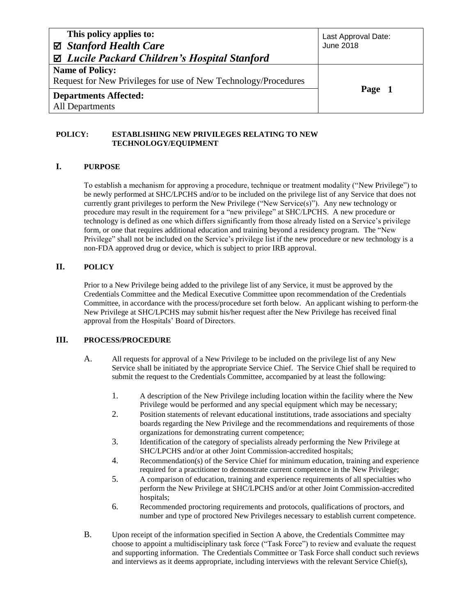| This policy applies to:<br>⊠ Stanford Health Care<br>$\boxtimes$ Lucile Packard Children's Hospital Stanford | Last Approval Date:<br><b>June 2018</b> |  |
|--------------------------------------------------------------------------------------------------------------|-----------------------------------------|--|
| <b>Name of Policy:</b><br>Request for New Privileges for use of New Technology/Procedures                    |                                         |  |
|                                                                                                              | Page 1                                  |  |
| <b>Departments Affected:</b>                                                                                 |                                         |  |
| All Departments                                                                                              |                                         |  |

#### **POLICY: ESTABLISHING NEW PRIVILEGES RELATING TO NEW TECHNOLOGY/EQUIPMENT**

## **I. PURPOSE**

To establish a mechanism for approving a procedure, technique or treatment modality ("New Privilege") to be newly performed at SHC/LPCHS and/or to be included on the privilege list of any Service that does not currently grant privileges to perform the New Privilege ("New Service(s)"). Any new technology or procedure may result in the requirement for a "new privilege" at SHC/LPCHS. A new procedure or technology is defined as one which differs significantly from those already listed on a Service's privilege form, or one that requires additional education and training beyond a residency program. The "New Privilege" shall not be included on the Service's privilege list if the new procedure or new technology is a non-FDA approved drug or device, which is subject to prior IRB approval.

## **II. POLICY**

Prior to a New Privilege being added to the privilege list of any Service, it must be approved by the Credentials Committee and the Medical Executive Committee upon recommendation of the Credentials Committee, in accordance with the process/procedure set forth below. An applicant wishing to perform the New Privilege at SHC/LPCHS may submit his/her request after the New Privilege has received final approval from the Hospitals' Board of Directors.

## **III. PROCESS/PROCEDURE**

- A. All requests for approval of a New Privilege to be included on the privilege list of any New Service shall be initiated by the appropriate Service Chief. The Service Chief shall be required to submit the request to the Credentials Committee, accompanied by at least the following:
	- 1. A description of the New Privilege including location within the facility where the New Privilege would be performed and any special equipment which may be necessary;
	- 2. Position statements of relevant educational institutions, trade associations and specialty boards regarding the New Privilege and the recommendations and requirements of those organizations for demonstrating current competence;
	- 3. Identification of the category of specialists already performing the New Privilege at SHC/LPCHS and/or at other Joint Commission-accredited hospitals;
	- 4. Recommendation(s) of the Service Chief for minimum education, training and experience required for a practitioner to demonstrate current competence in the New Privilege;
	- 5. A comparison of education, training and experience requirements of all specialties who perform the New Privilege at SHC/LPCHS and/or at other Joint Commission-accredited hospitals;
	- 6. Recommended proctoring requirements and protocols, qualifications of proctors, and number and type of proctored New Privileges necessary to establish current competence.
- B. Upon receipt of the information specified in Section A above, the Credentials Committee may choose to appoint a multidisciplinary task force ("Task Force") to review and evaluate the request and supporting information. The Credentials Committee or Task Force shall conduct such reviews and interviews as it deems appropriate, including interviews with the relevant Service Chief(s),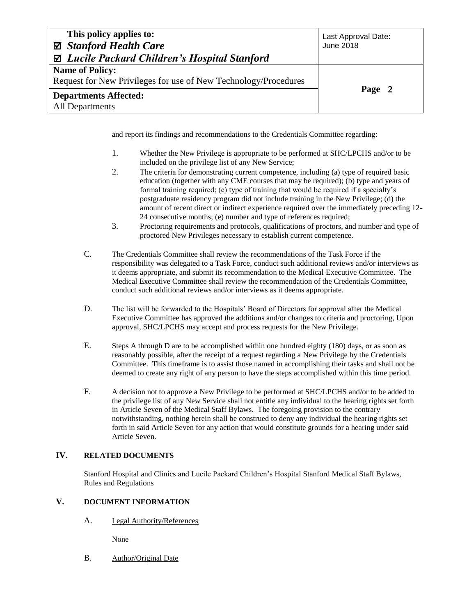| This policy applies to:<br>⊠ Stanford Health Care               | Last Approval Date:<br><b>June 2018</b> |  |
|-----------------------------------------------------------------|-----------------------------------------|--|
| $\boxtimes$ Lucile Packard Children's Hospital Stanford         |                                         |  |
| <b>Name of Policy:</b>                                          |                                         |  |
| Request for New Privileges for use of New Technology/Procedures |                                         |  |
| <b>Departments Affected:</b>                                    | Page 2                                  |  |
| All Departments                                                 |                                         |  |

and report its findings and recommendations to the Credentials Committee regarding:

- 1. Whether the New Privilege is appropriate to be performed at SHC/LPCHS and/or to be included on the privilege list of any New Service;
- 2. The criteria for demonstrating current competence, including (a) type of required basic education (together with any CME courses that may be required); (b) type and years of formal training required; (c) type of training that would be required if a specialty's postgraduate residency program did not include training in the New Privilege; (d) the amount of recent direct or indirect experience required over the immediately preceding 12- 24 consecutive months; (e) number and type of references required;
- 3. Proctoring requirements and protocols, qualifications of proctors, and number and type of proctored New Privileges necessary to establish current competence.
- C. The Credentials Committee shall review the recommendations of the Task Force if the responsibility was delegated to a Task Force, conduct such additional reviews and/or interviews as it deems appropriate, and submit its recommendation to the Medical Executive Committee. The Medical Executive Committee shall review the recommendation of the Credentials Committee, conduct such additional reviews and/or interviews as it deems appropriate.
- D. The list will be forwarded to the Hospitals' Board of Directors for approval after the Medical Executive Committee has approved the additions and/or changes to criteria and proctoring, Upon approval, SHC/LPCHS may accept and process requests for the New Privilege.
- E. Steps A through D are to be accomplished within one hundred eighty (180) days, or as soon as reasonably possible, after the receipt of a request regarding a New Privilege by the Credentials Committee. This timeframe is to assist those named in accomplishing their tasks and shall not be deemed to create any right of any person to have the steps accomplished within this time period.
- F. A decision not to approve a New Privilege to be performed at SHC/LPCHS and/or to be added to the privilege list of any New Service shall not entitle any individual to the hearing rights set forth in Article Seven of the Medical Staff Bylaws. The foregoing provision to the contrary notwithstanding, nothing herein shall be construed to deny any individual the hearing rights set forth in said Article Seven for any action that would constitute grounds for a hearing under said Article Seven.

## **IV. RELATED DOCUMENTS**

Stanford Hospital and Clinics and Lucile Packard Children's Hospital Stanford Medical Staff Bylaws, Rules and Regulations

## **V. DOCUMENT INFORMATION**

A. Legal Authority/References

None

B. Author/Original Date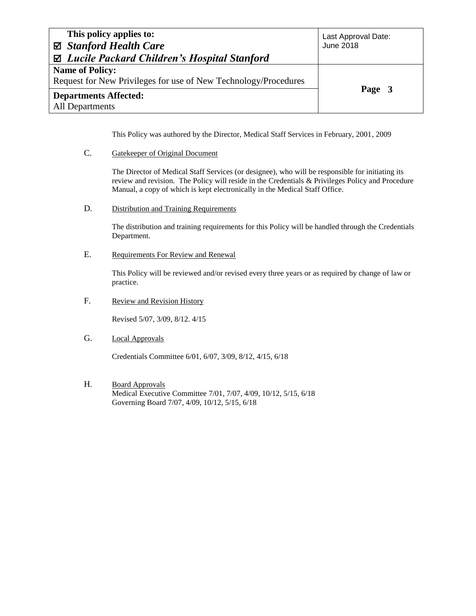| This policy applies to:                                         | Last Approval Date: |  |
|-----------------------------------------------------------------|---------------------|--|
| ⊠ Stanford Health Care                                          | <b>June 2018</b>    |  |
| $\boxtimes$ Lucile Packard Children's Hospital Stanford         |                     |  |
| <b>Name of Policy:</b>                                          |                     |  |
| Request for New Privileges for use of New Technology/Procedures |                     |  |
| <b>Departments Affected:</b>                                    | Page 3              |  |
| <b>All Departments</b>                                          |                     |  |

This Policy was authored by the Director, Medical Staff Services in February, 2001, 2009

C. Gatekeeper of Original Document

The Director of Medical Staff Services (or designee), who will be responsible for initiating its review and revision. The Policy will reside in the Credentials & Privileges Policy and Procedure Manual, a copy of which is kept electronically in the Medical Staff Office.

D. Distribution and Training Requirements

The distribution and training requirements for this Policy will be handled through the Credentials Department.

E. Requirements For Review and Renewal

This Policy will be reviewed and/or revised every three years or as required by change of law or practice.

F. Review and Revision History

Revised 5/07, 3/09, 8/12. 4/15

G. Local Approvals

Credentials Committee 6/01, 6/07, 3/09, 8/12, 4/15, 6/18

H. Board Approvals Medical Executive Committee 7/01, 7/07, 4/09, 10/12, 5/15, 6/18 Governing Board 7/07, 4/09, 10/12, 5/15, 6/18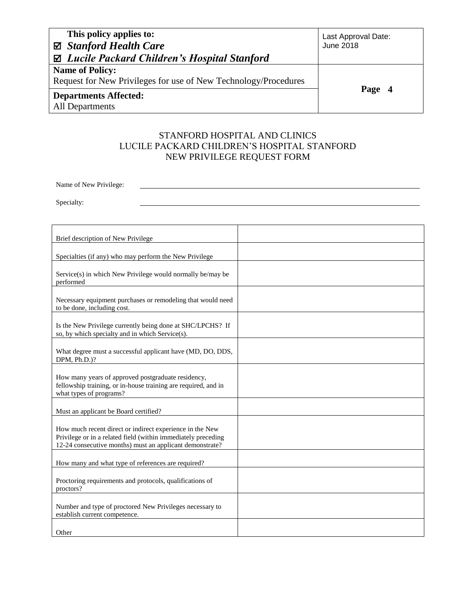| This policy applies to:                                         | Last Approval Date: |
|-----------------------------------------------------------------|---------------------|
| ⊠ Stanford Health Care                                          | <b>June 2018</b>    |
| $\boxtimes$ Lucile Packard Children's Hospital Stanford         |                     |
| <b>Name of Policy:</b>                                          |                     |
| Request for New Privileges for use of New Technology/Procedures |                     |
| <b>Departments Affected:</b>                                    | Page 4              |
| All Departments                                                 |                     |

# STANFORD HOSPITAL AND CLINICS LUCILE PACKARD CHILDREN'S HOSPITAL STANFORD NEW PRIVILEGE REQUEST FORM

Name of New Privilege:

Specialty:

| Brief description of New Privilege                                                                                                                                                    |  |
|---------------------------------------------------------------------------------------------------------------------------------------------------------------------------------------|--|
| Specialties (if any) who may perform the New Privilege                                                                                                                                |  |
| Service(s) in which New Privilege would normally be/may be<br>performed                                                                                                               |  |
| Necessary equipment purchases or remodeling that would need<br>to be done, including cost.                                                                                            |  |
| Is the New Privilege currently being done at SHC/LPCHS? If<br>so, by which specialty and in which Service(s).                                                                         |  |
| What degree must a successful applicant have (MD, DO, DDS,<br>DPM, Ph.D.)?                                                                                                            |  |
| How many years of approved postgraduate residency,<br>fellowship training, or in-house training are required, and in<br>what types of programs?                                       |  |
| Must an applicant be Board certified?                                                                                                                                                 |  |
| How much recent direct or indirect experience in the New<br>Privilege or in a related field (within immediately preceding<br>12-24 consecutive months) must an applicant demonstrate? |  |
| How many and what type of references are required?                                                                                                                                    |  |
| Proctoring requirements and protocols, qualifications of<br>proctors?                                                                                                                 |  |
| Number and type of proctored New Privileges necessary to<br>establish current competence.                                                                                             |  |
| Other                                                                                                                                                                                 |  |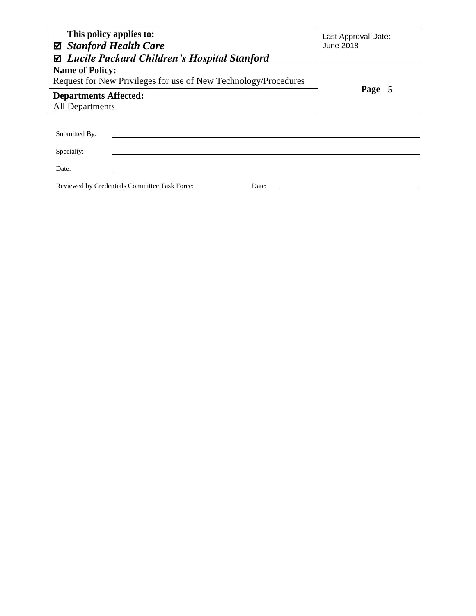| This policy applies to:<br>⊠ Stanford Health Care                                 | Last Approval Date:<br>June 2018 |
|-----------------------------------------------------------------------------------|----------------------------------|
| $\boxtimes$ Lucile Packard Children's Hospital Stanford<br><b>Name of Policy:</b> |                                  |
| Request for New Privileges for use of New Technology/Procedures                   |                                  |
| <b>Departments Affected:</b>                                                      | Page 5                           |
| All Departments                                                                   |                                  |
|                                                                                   |                                  |
| Submitted By:                                                                     |                                  |
| Specialty:                                                                        |                                  |

Date:

Reviewed by Credentials Committee Task Force: Date: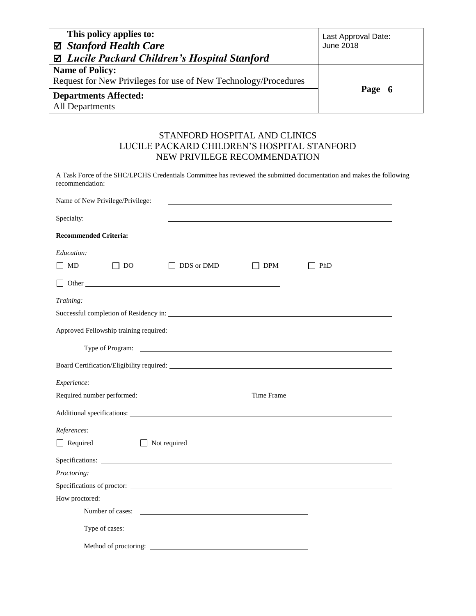| This policy applies to:<br>⊠ Stanford Health Care               | Last Approval Date:<br>June 2018 |  |
|-----------------------------------------------------------------|----------------------------------|--|
| $\boxtimes$ Lucile Packard Children's Hospital Stanford         |                                  |  |
| <b>Name of Policy:</b>                                          |                                  |  |
| Request for New Privileges for use of New Technology/Procedures |                                  |  |
| <b>Departments Affected:</b>                                    | Page 6                           |  |
| <b>All Departments</b>                                          |                                  |  |

## STANFORD HOSPITAL AND CLINICS LUCILE PACKARD CHILDREN'S HOSPITAL STANFORD NEW PRIVILEGE RECOMMENDATION

A Task Force of the SHC/LPCHS Credentials Committee has reviewed the submitted documentation and makes the following recommendation:

| Name of New Privilege/Privilege: |                              |     |                                                                                                                                                                                                                                     |  |
|----------------------------------|------------------------------|-----|-------------------------------------------------------------------------------------------------------------------------------------------------------------------------------------------------------------------------------------|--|
| Specialty:                       |                              |     |                                                                                                                                                                                                                                     |  |
| <b>Recommended Criteria:</b>     |                              |     |                                                                                                                                                                                                                                     |  |
| Education:                       |                              |     |                                                                                                                                                                                                                                     |  |
| $\Box$ MD<br>$\Box$ DO           | DDS or DMD                   | DPM | PhD                                                                                                                                                                                                                                 |  |
|                                  | $\Box$ Other                 |     |                                                                                                                                                                                                                                     |  |
| Training:                        |                              |     |                                                                                                                                                                                                                                     |  |
|                                  |                              |     |                                                                                                                                                                                                                                     |  |
|                                  |                              |     |                                                                                                                                                                                                                                     |  |
|                                  |                              |     |                                                                                                                                                                                                                                     |  |
|                                  |                              |     |                                                                                                                                                                                                                                     |  |
| Experience:                      |                              |     |                                                                                                                                                                                                                                     |  |
|                                  |                              |     | Time Frame <u>example</u> and the set of the set of the set of the set of the set of the set of the set of the set of the set of the set of the set of the set of the set of the set of the set of the set of the set of the set of |  |
|                                  |                              |     |                                                                                                                                                                                                                                     |  |
| References:                      |                              |     |                                                                                                                                                                                                                                     |  |
| $\Box$ Required                  | Not required<br>$\mathbf{I}$ |     |                                                                                                                                                                                                                                     |  |
|                                  | Specifications:              |     |                                                                                                                                                                                                                                     |  |
| Proctoring:                      |                              |     |                                                                                                                                                                                                                                     |  |
|                                  | Specifications of proctor:   |     |                                                                                                                                                                                                                                     |  |
| How proctored:                   |                              |     |                                                                                                                                                                                                                                     |  |
|                                  |                              |     |                                                                                                                                                                                                                                     |  |
| Type of cases:                   |                              |     |                                                                                                                                                                                                                                     |  |
|                                  |                              |     |                                                                                                                                                                                                                                     |  |